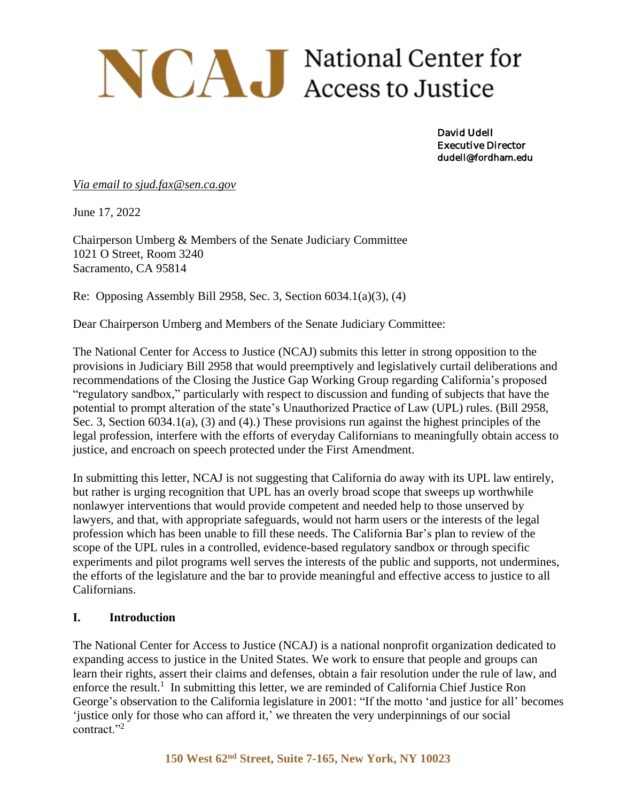# NCAJ National Center for

David Udell Executive Director dudell@fordham.edu

*Via email to sjud.fax@sen.ca.gov*

June 17, 2022

Chairperson Umberg & Members of the Senate Judiciary Committee 1021 O Street, Room 3240 Sacramento, CA 95814

Re: Opposing Assembly Bill 2958, Sec. 3, Section 6034.1(a)(3), (4)

Dear Chairperson Umberg and Members of the Senate Judiciary Committee:

The National Center for Access to Justice (NCAJ) submits this letter in strong opposition to the provisions in Judiciary Bill 2958 that would preemptively and legislatively curtail deliberations and recommendations of the Closing the Justice Gap Working Group regarding California's proposed "regulatory sandbox," particularly with respect to discussion and funding of subjects that have the potential to prompt alteration of the state's Unauthorized Practice of Law (UPL) rules. (Bill 2958, Sec. 3, Section 6034.1(a), (3) and (4).) These provisions run against the highest principles of the legal profession, interfere with the efforts of everyday Californians to meaningfully obtain access to justice, and encroach on speech protected under the First Amendment.

In submitting this letter, NCAJ is not suggesting that California do away with its UPL law entirely, but rather is urging recognition that UPL has an overly broad scope that sweeps up worthwhile nonlawyer interventions that would provide competent and needed help to those unserved by lawyers, and that, with appropriate safeguards, would not harm users or the interests of the legal profession which has been unable to fill these needs. The California Bar's plan to review of the scope of the UPL rules in a controlled, evidence-based regulatory sandbox or through specific experiments and pilot programs well serves the interests of the public and supports, not undermines, the efforts of the legislature and the bar to provide meaningful and effective access to justice to all Californians.

#### **I. Introduction**

The National Center for Access to Justice (NCAJ) is a national nonprofit organization dedicated to expanding access to justice in the United States. We work to ensure that people and groups can learn their rights, assert their claims and defenses, obtain a fair resolution under the rule of law, and enforce the result.<sup>1</sup> In submitting this letter, we are reminded of California Chief Justice Ron George's observation to the California legislature in 2001: "If the motto 'and justice for all' becomes 'justice only for those who can afford it,' we threaten the very underpinnings of our social contract."<sup>2</sup>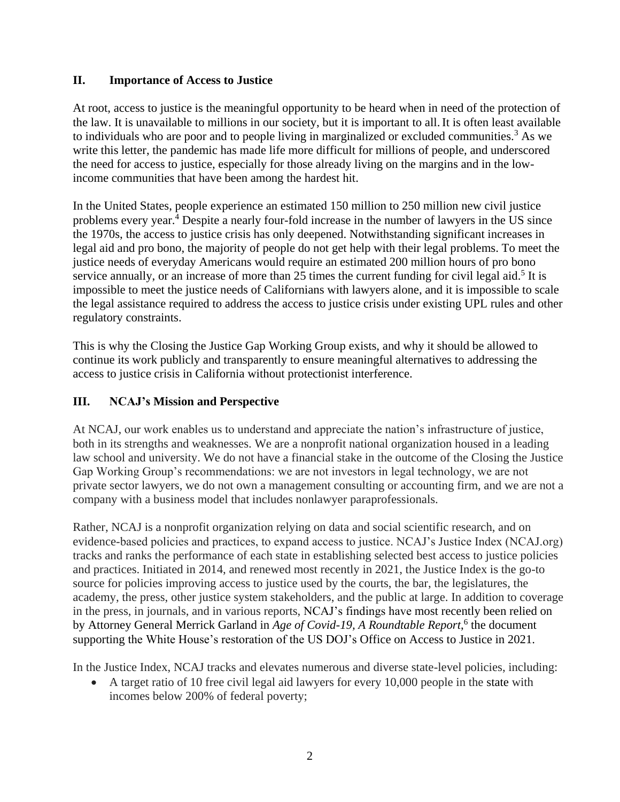## **II. Importance of Access to Justice**

At root, access to justice is the meaningful opportunity to be heard when in need of the protection of the law. It is unavailable to millions in our society, but it is important to all.It is often least available to individuals who are poor and to people living in marginalized or excluded communities.<sup>3</sup> As we write this letter, the pandemic has made life more difficult for millions of people, and underscored the need for access to justice, especially for those already living on the margins and in the lowincome communities that have been among the hardest hit.

In the United States, people experience an estimated 150 million to 250 million new civil justice problems every year.<sup>4</sup> Despite a nearly four-fold increase in the number of lawyers in the US since the 1970s, the access to justice crisis has only deepened. Notwithstanding significant increases in legal aid and pro bono, the majority of people do not get help with their legal problems. To meet the justice needs of everyday Americans would require an estimated 200 million hours of pro bono service annually, or an increase of more than  $25$  times the current funding for civil legal aid.<sup>5</sup> It is impossible to meet the justice needs of Californians with lawyers alone, and it is impossible to scale the legal assistance required to address the access to justice crisis under existing UPL rules and other regulatory constraints.

This is why the Closing the Justice Gap Working Group exists, and why it should be allowed to continue its work publicly and transparently to ensure meaningful alternatives to addressing the access to justice crisis in California without protectionist interference.

## **III. NCAJ's Mission and Perspective**

At NCAJ, our work enables us to understand and appreciate the nation's infrastructure of justice, both in its strengths and weaknesses. We are a nonprofit national organization housed in a leading law school and university. We do not have a financial stake in the outcome of the Closing the Justice Gap Working Group's recommendations: we are not investors in legal technology, we are not private sector lawyers, we do not own a management consulting or accounting firm, and we are not a company with a business model that includes nonlawyer paraprofessionals.

Rather, NCAJ is a nonprofit organization relying on data and social scientific research, and on evidence-based policies and practices, to expand access to justice. NCAJ's Justice Index (NCAJ.org) tracks and ranks the performance of each state in establishing selected best access to justice policies and practices. Initiated in 2014, and renewed most recently in 2021, the Justice Index is the go-to source for policies improving access to justice used by the courts, the bar, the legislatures, the academy, the press, other justice system stakeholders, and the public at large. In addition to coverage in the press, in journals, and in various reports, NCAJ's findings have most recently been relied on by Attorney General Merrick Garland in *Age of Covid-19*, A Roundtable Report,<sup>6</sup> the document supporting the White House's restoration of the US DOJ's Office on Access to Justice in 2021.

In the Justice Index, NCAJ tracks and elevates numerous and diverse state-level policies, including:

• A target ratio of 10 free civil legal aid lawyers for every 10,000 people in the state with incomes below 200% of federal poverty;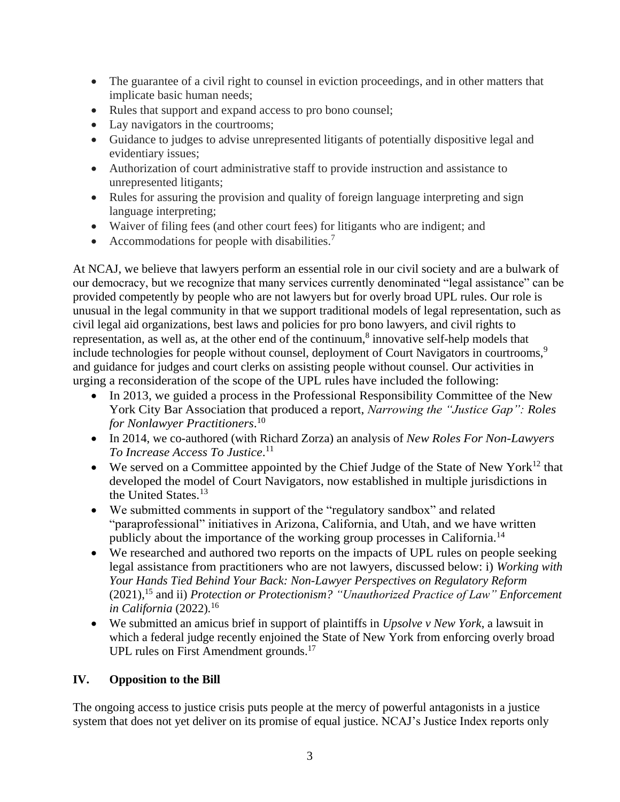- The guarantee of a civil right to counsel in eviction proceedings, and in other matters that implicate basic human needs;
- Rules that support and expand access to pro bono counsel;
- Lay navigators in the courtrooms;
- Guidance to judges to advise unrepresented litigants of potentially dispositive legal and evidentiary issues;
- Authorization of court administrative staff to provide instruction and assistance to unrepresented litigants;
- Rules for assuring the provision and quality of foreign language interpreting and sign language interpreting;
- Waiver of filing fees (and other court fees) for litigants who are indigent; and
- Accommodations for people with disabilities.<sup>7</sup>

At NCAJ, we believe that lawyers perform an essential role in our civil society and are a bulwark of our democracy, but we recognize that many services currently denominated "legal assistance" can be provided competently by people who are not lawyers but for overly broad UPL rules. Our role is unusual in the legal community in that we support traditional models of legal representation, such as civil legal aid organizations, best laws and policies for pro bono lawyers, and civil rights to representation, as well as, at the other end of the continuum, $\delta$  innovative self-help models that include technologies for people without counsel, deployment of Court Navigators in courtrooms,<sup>9</sup> and guidance for judges and court clerks on assisting people without counsel. Our activities in urging a reconsideration of the scope of the UPL rules have included the following:

- In 2013, we guided a process in the Professional Responsibility Committee of the New York City Bar Association that produced a report, *Narrowing the "Justice Gap": Roles for Nonlawyer Practitioners*. 10
- In 2014, we co-authored (with Richard Zorza) an analysis of *New Roles For Non-Lawyers To Increase Access To Justice*. 11
- We served on a Committee appointed by the Chief Judge of the State of New York $12$  that developed the model of Court Navigators, now established in multiple jurisdictions in the United States.<sup>13</sup>
- We submitted comments in support of the "regulatory sandbox" and related "paraprofessional" initiatives in Arizona, California, and Utah, and we have written publicly about the importance of the working group processes in California.<sup>14</sup>
- We researched and authored two reports on the impacts of UPL rules on people seeking legal assistance from practitioners who are not lawyers, discussed below: i) *Working with Your Hands Tied Behind Your Back: Non-Lawyer Perspectives on Regulatory Reform* (2021), <sup>15</sup> and ii) *Protection or Protectionism? "Unauthorized Practice of Law" Enforcement in California* (2022)*.* 16
- We submitted an amicus brief in support of plaintiffs in *Upsolve v New York*, a lawsuit in which a federal judge recently enjoined the State of New York from enforcing overly broad UPL rules on First Amendment grounds.<sup>17</sup>

## **IV. Opposition to the Bill**

The ongoing access to justice crisis puts people at the mercy of powerful antagonists in a justice system that does not yet deliver on its promise of equal justice. NCAJ's Justice Index reports only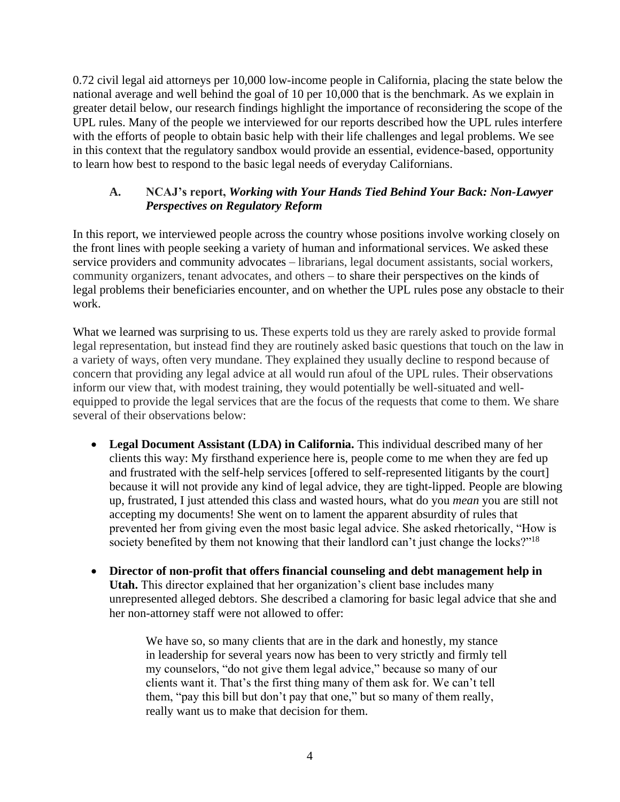0.72 civil legal aid attorneys per 10,000 low-income people in California, placing the state below the national average and well behind the goal of 10 per 10,000 that is the benchmark. As we explain in greater detail below, our research findings highlight the importance of reconsidering the scope of the UPL rules. Many of the people we interviewed for our reports described how the UPL rules interfere with the efforts of people to obtain basic help with their life challenges and legal problems. We see in this context that the regulatory sandbox would provide an essential, evidence-based, opportunity to learn how best to respond to the basic legal needs of everyday Californians.

## **A. NCAJ's report,** *Working with Your Hands Tied Behind Your Back: Non-Lawyer Perspectives on Regulatory Reform*

In this report, we interviewed people across the country whose positions involve working closely on the front lines with people seeking a variety of human and informational services. We asked these service providers and community advocates – librarians, legal document assistants, social workers, community organizers, tenant advocates, and others – to share their perspectives on the kinds of legal problems their beneficiaries encounter, and on whether the UPL rules pose any obstacle to their work.

What we learned was surprising to us. These experts told us they are rarely asked to provide formal legal representation, but instead find they are routinely asked basic questions that touch on the law in a variety of ways, often very mundane. They explained they usually decline to respond because of concern that providing any legal advice at all would run afoul of the UPL rules. Their observations inform our view that, with modest training, they would potentially be well-situated and wellequipped to provide the legal services that are the focus of the requests that come to them. We share several of their observations below:

- **Legal Document Assistant (LDA) in California.** This individual described many of her clients this way: My firsthand experience here is, people come to me when they are fed up and frustrated with the self-help services [offered to self-represented litigants by the court] because it will not provide any kind of legal advice, they are tight-lipped. People are blowing up, frustrated, I just attended this class and wasted hours, what do you *mean* you are still not accepting my documents! She went on to lament the apparent absurdity of rules that prevented her from giving even the most basic legal advice. She asked rhetorically, "How is society benefited by them not knowing that their landlord can't just change the locks?"<sup>18</sup>
- **Director of non-profit that offers financial counseling and debt management help in Utah.** This director explained that her organization's client base includes many unrepresented alleged debtors. She described a clamoring for basic legal advice that she and her non-attorney staff were not allowed to offer:

We have so, so many clients that are in the dark and honestly, my stance in leadership for several years now has been to very strictly and firmly tell my counselors, "do not give them legal advice," because so many of our clients want it. That's the first thing many of them ask for. We can't tell them, "pay this bill but don't pay that one," but so many of them really, really want us to make that decision for them.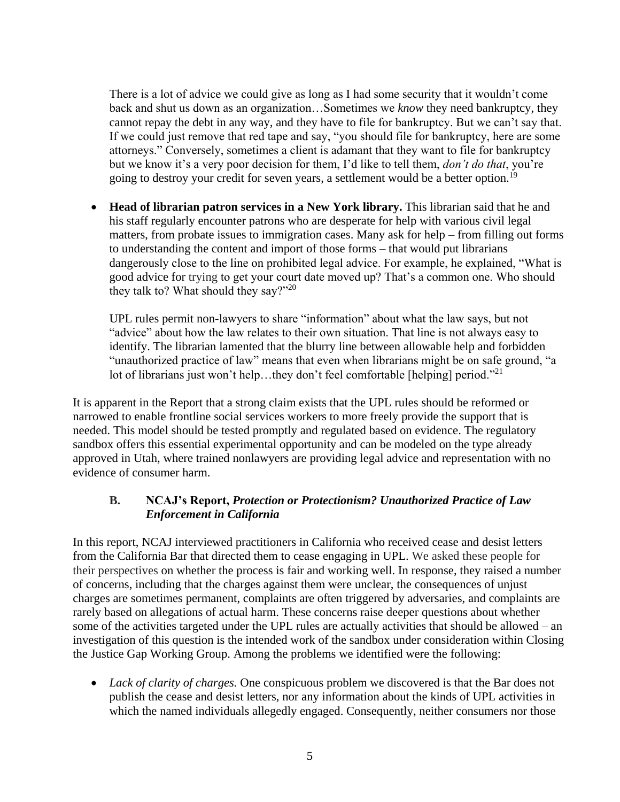There is a lot of advice we could give as long as I had some security that it wouldn't come back and shut us down as an organization…Sometimes we *know* they need bankruptcy, they cannot repay the debt in any way, and they have to file for bankruptcy. But we can't say that. If we could just remove that red tape and say, "you should file for bankruptcy, here are some attorneys." Conversely, sometimes a client is adamant that they want to file for bankruptcy but we know it's a very poor decision for them, I'd like to tell them, *don't do that*, you're going to destroy your credit for seven years, a settlement would be a better option.<sup>19</sup>

• **Head of librarian patron services in a New York library.** This librarian said that he and his staff regularly encounter patrons who are desperate for help with various civil legal matters, from probate issues to immigration cases. Many ask for help – from filling out forms to understanding the content and import of those forms – that would put librarians dangerously close to the line on prohibited legal advice. For example, he explained, "What is good advice for trying to get your court date moved up? That's a common one. Who should they talk to? What should they say?"<sup>20</sup>

UPL rules permit non-lawyers to share "information" about what the law says, but not "advice" about how the law relates to their own situation. That line is not always easy to identify. The librarian lamented that the blurry line between allowable help and forbidden "unauthorized practice of law" means that even when librarians might be on safe ground, "a lot of librarians just won't help...they don't feel comfortable [helping] period."<sup>21</sup>

It is apparent in the Report that a strong claim exists that the UPL rules should be reformed or narrowed to enable frontline social services workers to more freely provide the support that is needed. This model should be tested promptly and regulated based on evidence. The regulatory sandbox offers this essential experimental opportunity and can be modeled on the type already approved in Utah, where trained nonlawyers are providing legal advice and representation with no evidence of consumer harm.

## **B. NCAJ's Report,** *Protection or Protectionism? Unauthorized Practice of Law Enforcement in California*

In this report, NCAJ interviewed practitioners in California who received cease and desist letters from the California Bar that directed them to cease engaging in UPL. We asked these people for their perspectives on whether the process is fair and working well. In response, they raised a number of concerns, including that the charges against them were unclear, the consequences of unjust charges are sometimes permanent, complaints are often triggered by adversaries, and complaints are rarely based on allegations of actual harm. These concerns raise deeper questions about whether some of the activities targeted under the UPL rules are actually activities that should be allowed – an investigation of this question is the intended work of the sandbox under consideration within Closing the Justice Gap Working Group. Among the problems we identified were the following:

• *Lack of clarity of charges.* One conspicuous problem we discovered is that the Bar does not publish the cease and desist letters, nor any information about the kinds of UPL activities in which the named individuals allegedly engaged. Consequently, neither consumers nor those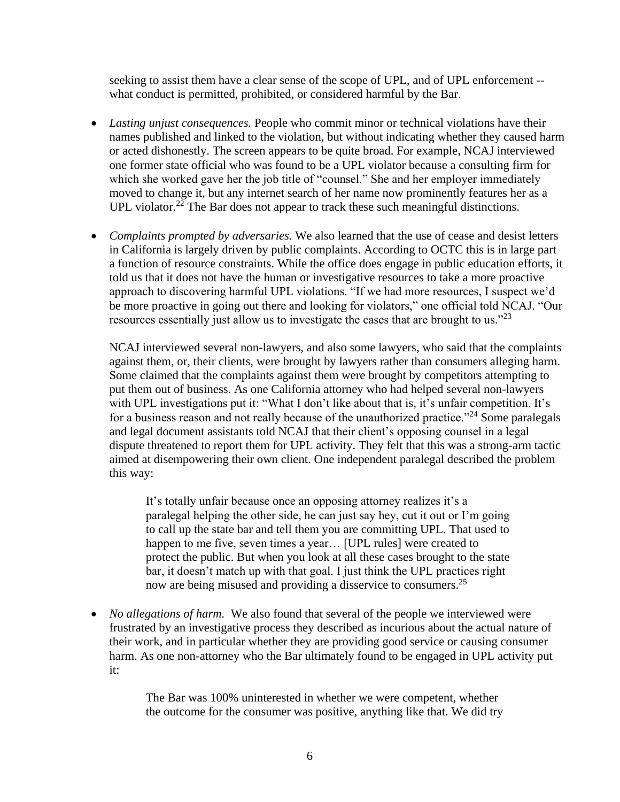seeking to assist them have a clear sense of the scope of UPL, and of UPL enforcement - what conduct is permitted, prohibited, or considered harmful by the Bar.

- *Lasting unjust consequences.* People who commit minor or technical violations have their names published and linked to the violation, but without indicating whether they caused harm or acted dishonestly. The screen appears to be quite broad. For example, NCAJ interviewed one former state official who was found to be a UPL violator because a consulting firm for which she worked gave her the job title of "counsel." She and her employer immediately moved to change it, but any internet search of her name now prominently features her as a UPL violator.<sup>22</sup> The Bar does not appear to track these such meaningful distinctions.
- *Complaints prompted by adversaries.* We also learned that the use of cease and desist letters in California is largely driven by public complaints. According to OCTC this is in large part a function of resource constraints. While the office does engage in public education efforts, it told us that it does not have the human or investigative resources to take a more proactive approach to discovering harmful UPL violations. "If we had more resources, I suspect we'd be more proactive in going out there and looking for violators," one official told NCAJ. "Our resources essentially just allow us to investigate the cases that are brought to us." $23$

NCAJ interviewed several non-lawyers, and also some lawyers, who said that the complaints against them, or, their clients, were brought by lawyers rather than consumers alleging harm. Some claimed that the complaints against them were brought by competitors attempting to put them out of business. As one California attorney who had helped several non-lawyers with UPL investigations put it: "What I don't like about that is, it's unfair competition. It's for a business reason and not really because of the unauthorized practice."<sup>24</sup> Some paralegals and legal document assistants told NCAJ that their client's opposing counsel in a legal dispute threatened to report them for UPL activity. They felt that this was a strong-arm tactic aimed at disempowering their own client. One independent paralegal described the problem this way:

It's totally unfair because once an opposing attorney realizes it's a paralegal helping the other side, he can just say hey, cut it out or I'm going to call up the state bar and tell them you are committing UPL. That used to happen to me five, seven times a year… [UPL rules] were created to protect the public. But when you look at all these cases brought to the state bar, it doesn't match up with that goal. I just think the UPL practices right now are being misused and providing a disservice to consumers.<sup>25</sup>

• *No allegations of harm.* We also found that several of the people we interviewed were frustrated by an investigative process they described as incurious about the actual nature of their work, and in particular whether they are providing good service or causing consumer harm. As one non-attorney who the Bar ultimately found to be engaged in UPL activity put it:

> The Bar was 100% uninterested in whether we were competent, whether the outcome for the consumer was positive, anything like that. We did try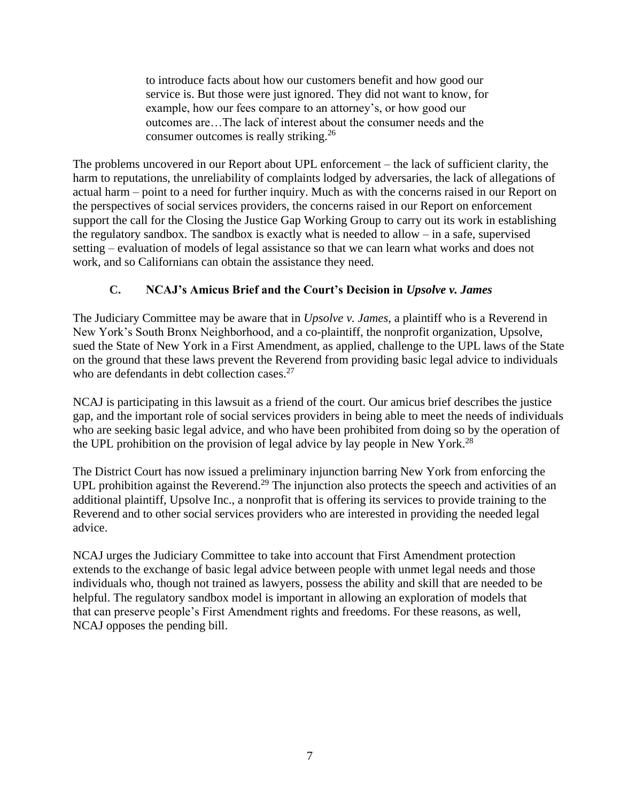to introduce facts about how our customers benefit and how good our service is. But those were just ignored. They did not want to know, for example, how our fees compare to an attorney's, or how good our outcomes are…The lack of interest about the consumer needs and the consumer outcomes is really striking.<sup>26</sup>

The problems uncovered in our Report about UPL enforcement – the lack of sufficient clarity, the harm to reputations, the unreliability of complaints lodged by adversaries, the lack of allegations of actual harm – point to a need for further inquiry. Much as with the concerns raised in our Report on the perspectives of social services providers, the concerns raised in our Report on enforcement support the call for the Closing the Justice Gap Working Group to carry out its work in establishing the regulatory sandbox. The sandbox is exactly what is needed to allow – in a safe, supervised setting – evaluation of models of legal assistance so that we can learn what works and does not work, and so Californians can obtain the assistance they need.

# **C. NCAJ's Amicus Brief and the Court's Decision in** *Upsolve v. James*

The Judiciary Committee may be aware that in *Upsolve v. James*, a plaintiff who is a Reverend in New York's South Bronx Neighborhood, and a co-plaintiff, the nonprofit organization, Upsolve, sued the State of New York in a First Amendment, as applied, challenge to the UPL laws of the State on the ground that these laws prevent the Reverend from providing basic legal advice to individuals who are defendants in debt collection cases.<sup>27</sup>

NCAJ is participating in this lawsuit as a friend of the court. Our amicus brief describes the justice gap, and the important role of social services providers in being able to meet the needs of individuals who are seeking basic legal advice, and who have been prohibited from doing so by the operation of the UPL prohibition on the provision of legal advice by lay people in New York.<sup>28</sup>

The District Court has now issued a preliminary injunction barring New York from enforcing the UPL prohibition against the Reverend.<sup>29</sup> The injunction also protects the speech and activities of an additional plaintiff, Upsolve Inc., a nonprofit that is offering its services to provide training to the Reverend and to other social services providers who are interested in providing the needed legal advice.

NCAJ urges the Judiciary Committee to take into account that First Amendment protection extends to the exchange of basic legal advice between people with unmet legal needs and those individuals who, though not trained as lawyers, possess the ability and skill that are needed to be helpful. The regulatory sandbox model is important in allowing an exploration of models that that can preserve people's First Amendment rights and freedoms. For these reasons, as well, NCAJ opposes the pending bill.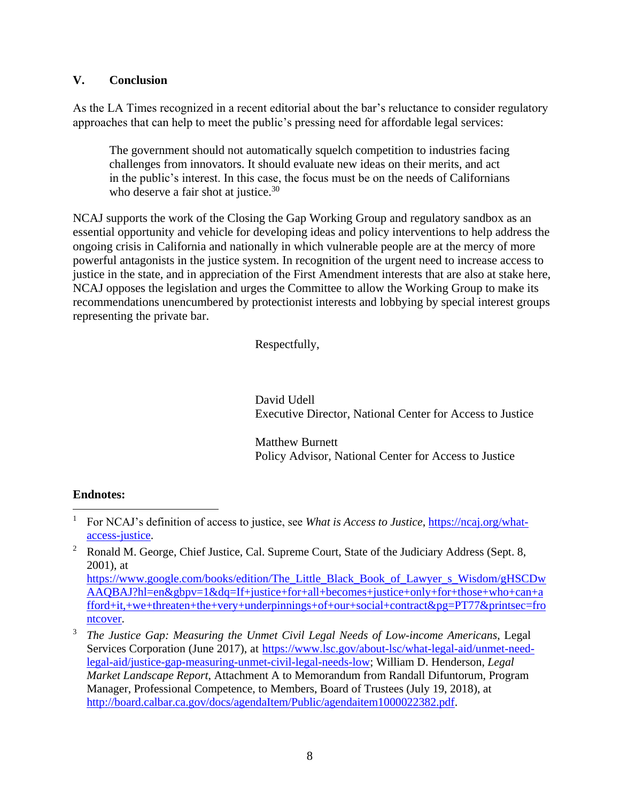#### **V. Conclusion**

As the LA Times recognized in a recent editorial about the bar's reluctance to consider regulatory approaches that can help to meet the public's pressing need for affordable legal services:

The government should not automatically squelch competition to industries facing challenges from innovators. It should evaluate new ideas on their merits, and act in the public's interest. In this case, the focus must be on the needs of Californians who deserve a fair shot at justice.<sup>30</sup>

NCAJ supports the work of the Closing the Gap Working Group and regulatory sandbox as an essential opportunity and vehicle for developing ideas and policy interventions to help address the ongoing crisis in California and nationally in which vulnerable people are at the mercy of more powerful antagonists in the justice system. In recognition of the urgent need to increase access to justice in the state, and in appreciation of the First Amendment interests that are also at stake here, NCAJ opposes the legislation and urges the Committee to allow the Working Group to make its recommendations unencumbered by protectionist interests and lobbying by special interest groups representing the private bar.

Respectfully,

David Udell Executive Director, National Center for Access to Justice

Matthew Burnett Policy Advisor, National Center for Access to Justice

## **Endnotes:**

 $\overline{a}$ 

<sup>1</sup> For NCAJ's definition of access to justice, see *What is Access to Justice*, [https://ncaj.org/what](https://ncaj.org/what-access-justice)[access-justice.](https://ncaj.org/what-access-justice)

<sup>&</sup>lt;sup>2</sup> Ronald M. George, Chief Justice, Cal. Supreme Court, State of the Judiciary Address (Sept. 8, 2001), at [https://www.google.com/books/edition/The\\_Little\\_Black\\_Book\\_of\\_Lawyer\\_s\\_Wisdom/gHSCDw](https://www.google.com/books/edition/The_Little_Black_Book_of_Lawyer_s_Wisdom/gHSCDwAAQBAJ?hl=en&gbpv=1&dq=If+justice+for+all+becomes+justice+only+for+those+who+can+afford+it,+we+threaten+the+very+underpinnings+of+our+social+contract&pg=PT77&printsec=frontcover) [AAQBAJ?hl=en&gbpv=1&dq=If+justice+for+all+becomes+justice+only+for+those+who+can+a](https://www.google.com/books/edition/The_Little_Black_Book_of_Lawyer_s_Wisdom/gHSCDwAAQBAJ?hl=en&gbpv=1&dq=If+justice+for+all+becomes+justice+only+for+those+who+can+afford+it,+we+threaten+the+very+underpinnings+of+our+social+contract&pg=PT77&printsec=frontcover) [fford+it,+we+threaten+the+very+underpinnings+of+our+social+contract&pg=PT77&printsec=fro](https://www.google.com/books/edition/The_Little_Black_Book_of_Lawyer_s_Wisdom/gHSCDwAAQBAJ?hl=en&gbpv=1&dq=If+justice+for+all+becomes+justice+only+for+those+who+can+afford+it,+we+threaten+the+very+underpinnings+of+our+social+contract&pg=PT77&printsec=frontcover)

[ntcover.](https://www.google.com/books/edition/The_Little_Black_Book_of_Lawyer_s_Wisdom/gHSCDwAAQBAJ?hl=en&gbpv=1&dq=If+justice+for+all+becomes+justice+only+for+those+who+can+afford+it,+we+threaten+the+very+underpinnings+of+our+social+contract&pg=PT77&printsec=frontcover)

<sup>3</sup> *The Justice Gap: Measuring the Unmet Civil Legal Needs of Low-income Americans*, Legal Services Corporation (June 2017), at [https://www.lsc.gov/about-lsc/what-legal-aid/unmet-need](https://www.lsc.gov/about-lsc/what-legal-aid/unmet-need-legal-aid/justice-gap-measuring-unmet-civil-legal-needs-low)[legal-aid/justice-gap-measuring-unmet-civil-legal-needs-low;](https://www.lsc.gov/about-lsc/what-legal-aid/unmet-need-legal-aid/justice-gap-measuring-unmet-civil-legal-needs-low) William D. Henderson, *Legal Market Landscape Report*, Attachment A to Memorandum from Randall Difuntorum, Program Manager, Professional Competence, to Members, Board of Trustees (July 19, 2018), at [http://board.calbar.ca.gov/docs/agendaItem/Public/agendaitem1000022382.pdf.](http://board.calbar.ca.gov/docs/agendaItem/Public/agendaitem1000022382.pdf)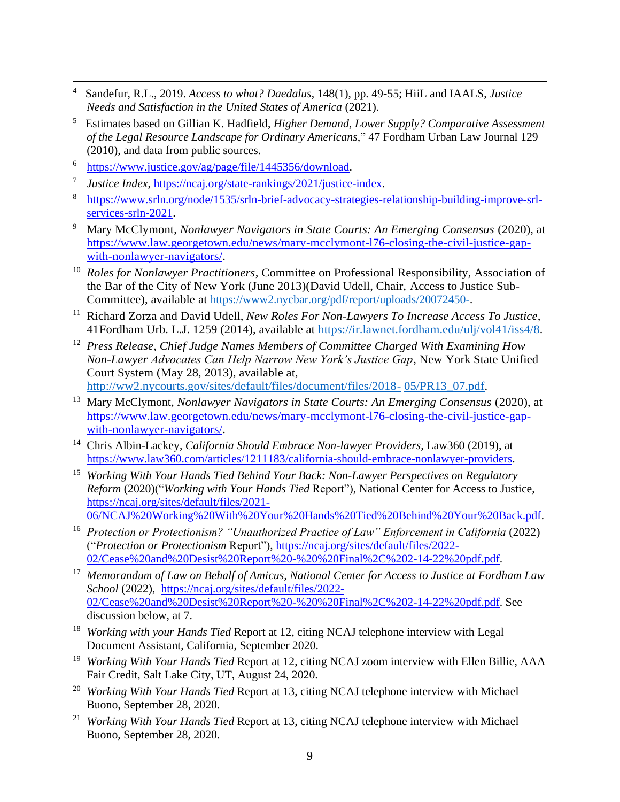- 4 Sandefur, R.L., 2019. *Access to what? Daedalus*, 148(1), pp. 49-55; HiiL and IAALS, *Justice Needs and Satisfaction in the United States of America* (2021).
- 5 Estimates based on Gillian K. Hadfield, *Higher Demand, Lower Supply? Comparative Assessment of the Legal Resource Landscape for Ordinary Americans*," 47 Fordham Urban Law Journal 129 (2010), and data from public sources.
- <sup>6</sup> [https://www.justice.gov/ag/page/file/1445356/download.](https://www.justice.gov/ag/page/file/1445356/download)

 $\overline{a}$ 

- 7 *Justice Index*, [https://ncaj.org/state-rankings/2021/justice-index.](https://ncaj.org/state-rankings/2021/justice-index)
- 8 [https://www.srln.org/node/1535/srln-brief-advocacy-strategies-relationship-building-improve-srl](https://www.srln.org/node/1535/srln-brief-advocacy-strategies-relationship-building-improve-srl-services-srln-2021)[services-srln-2021.](https://www.srln.org/node/1535/srln-brief-advocacy-strategies-relationship-building-improve-srl-services-srln-2021)
- <sup>9</sup> Mary McClymont, *Nonlawyer Navigators in State Courts: An Emerging Consensus* (2020), at [https://www.law.georgetown.edu/news/mary-mcclymont-l76-closing-the-civil-justice-gap](https://www.law.georgetown.edu/news/mary-mcclymont-l76-closing-the-civil-justice-gap-with-nonlawyer-navigators/)[with-nonlawyer-navigators/.](https://www.law.georgetown.edu/news/mary-mcclymont-l76-closing-the-civil-justice-gap-with-nonlawyer-navigators/)
- <sup>10</sup> *Roles for Nonlawyer Practitioners*, Committee on Professional Responsibility, Association of the Bar of the City of New York (June 2013)(David Udell, Chair, Access to Justice Sub-Committee), available at https://www2.nycbar.org/pdf/report/uploads/20072450-.
- <sup>11</sup> Richard Zorza and David Udell, *New Roles For Non-Lawyers To Increase Access To Justice*, 41Fordham Urb. L.J. 1259 (2014), available at https://ir.lawnet.fordham.edu/ulj/vol41/iss4/8*.*
- <sup>12</sup> *Press Release*, *Chief Judge Names Members of Committee Charged With Examining How Non-Lawyer Advocates Can Help Narrow New York's Justice Gap*, New York State Unified Court System (May 28, 2013), available at, <http://ww2.nycourts.gov/sites/default/files/document/files/2018-> 05/PR13\_07.pdf.
- <sup>13</sup> Mary McClymont, *Nonlawyer Navigators in State Courts: An Emerging Consensus* (2020), at [https://www.law.georgetown.edu/news/mary-mcclymont-l76-closing-the-civil-justice-gap](https://www.law.georgetown.edu/news/mary-mcclymont-l76-closing-the-civil-justice-gap-with-nonlawyer-navigators/)[with-nonlawyer-navigators/.](https://www.law.georgetown.edu/news/mary-mcclymont-l76-closing-the-civil-justice-gap-with-nonlawyer-navigators/)
- <sup>14</sup> Chris Albin-Lackey, *California Should Embrace Non-lawyer Providers,* Law360 (2019), at [https://www.law360.com/articles/1211183/california-should-embrace-nonlawyer-providers.](https://www.law360.com/articles/1211183/california-should-embrace-nonlawyer-providers)
- <sup>15</sup> *Working With Your Hands Tied Behind Your Back: Non-Lawyer Perspectives on Regulatory Reform* (2020)("*Working with Your Hands Tied* Report"), National Center for Access to Justice, [https://ncaj.org/sites/default/files/2021-](https://ncaj.org/sites/default/files/2021-06/NCAJ%20Working%20With%20Your%20Hands%20Tied%20Behind%20Your%20Back.pdf) [06/NCAJ%20Working%20With%20Your%20Hands%20Tied%20Behind%20Your%20Back.pdf.](https://ncaj.org/sites/default/files/2021-06/NCAJ%20Working%20With%20Your%20Hands%20Tied%20Behind%20Your%20Back.pdf)
- <sup>16</sup> Protection or Protectionism? "Unauthorized Practice of Law" Enforcement in California (2022) ("*Protection or Protectionism* Report"), [https://ncaj.org/sites/default/files/2022-](https://ncaj.org/sites/default/files/2022-02/Cease%20and%20Desist%20Report%20-%20%20Final%2C%202-14-22%20pdf.pdf) [02/Cease%20and%20Desist%20Report%20-%20%20Final%2C%202-14-22%20pdf.pdf.](https://ncaj.org/sites/default/files/2022-02/Cease%20and%20Desist%20Report%20-%20%20Final%2C%202-14-22%20pdf.pdf)
- <sup>17</sup> *Memorandum of Law on Behalf of Amicus, National Center for Access to Justice at Fordham Law School* (2022), [https://ncaj.org/sites/default/files/2022-](https://ncaj.org/sites/default/files/2022-02/Cease%20and%20Desist%20Report%20-%20%20Final%2C%202-14-22%20pdf.pdf) [02/Cease%20and%20Desist%20Report%20-%20%20Final%2C%202-14-22%20pdf.pdf.](https://ncaj.org/sites/default/files/2022-02/Cease%20and%20Desist%20Report%20-%20%20Final%2C%202-14-22%20pdf.pdf) See discussion below, at 7.
- <sup>18</sup> *Working with your Hands Tied Report at 12, citing NCAJ telephone interview with Legal* Document Assistant, California, September 2020.
- <sup>19</sup> *Working With Your Hands Tied Report at 12, citing NCAJ zoom interview with Ellen Billie, AAA* Fair Credit, Salt Lake City, UT, August 24, 2020.
- <sup>20</sup> *Working With Your Hands Tied* Report at 13, citing NCAJ telephone interview with Michael Buono, September 28, 2020.
- <sup>21</sup> *Working With Your Hands Tied* Report at 13, citing NCAJ telephone interview with Michael Buono, September 28, 2020.